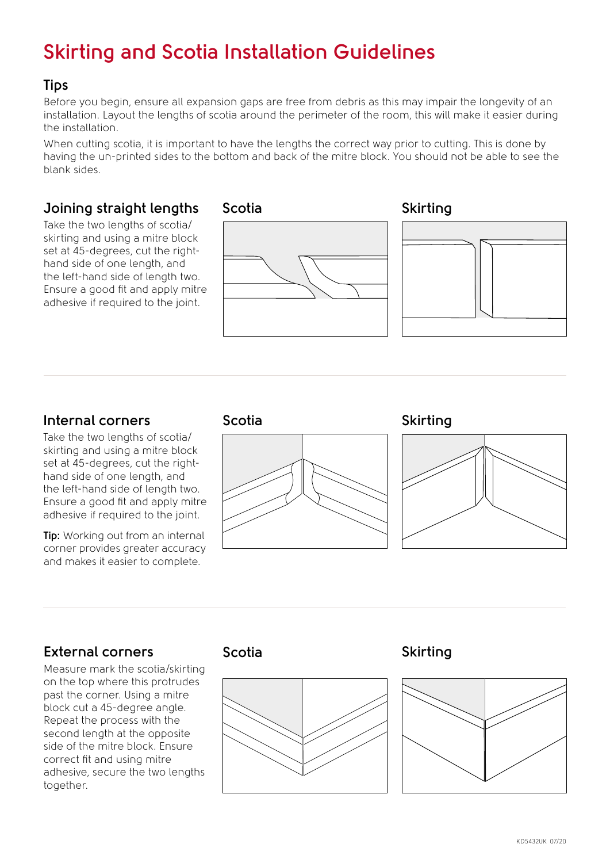# **Skirting and Scotia Installation Guidelines**

#### **Tips**

Before you begin, ensure all expansion gaps are free from debris as this may impair the longevity of an installation. Layout the lengths of scotia around the perimeter of the room, this will make it easier during the installation.

When cutting scotia, it is important to have the lengths the correct way prior to cutting. This is done by having the un-printed sides to the bottom and back of the mitre block. You should not be able to see the blank sides.

### **Joining straight lengths**

Take the two lengths of scotia/ skirting and using a mitre block set at 45-degrees, cut the righthand side of one length, and the left-hand side of length two. Ensure a good fit and apply mitre adhesive if required to the joint.





### **Internal corners**

Take the two lengths of scotia/ skirting and using a mitre block set at 45-degrees, cut the righthand side of one length, and the left-hand side of length two. Ensure a good fit and apply mitre adhesive if required to the joint.

**Tip:** Working out from an internal corner provides greater accuracy and makes it easier to complete.



**Scotia Skirting**



### **External corners**

Measure mark the scotia/skirting on the top where this protrudes past the corner. Using a mitre block cut a 45-degree angle. Repeat the process with the second length at the opposite side of the mitre block. Ensure correct fit and using mitre adhesive, secure the two lengths together.



#### **Scotia Skirting**